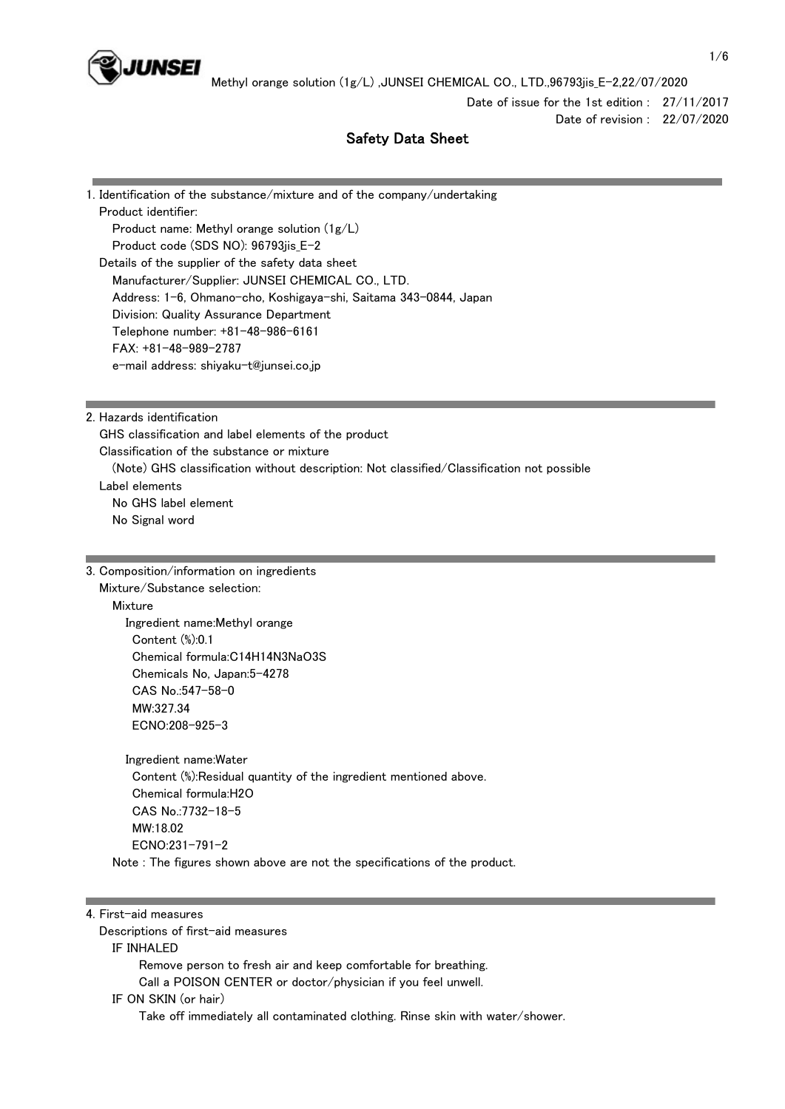

Date of issue for the 1st edition : 27/11/2017 Date of revision : 22/07/2020

# Safety Data Sheet

1. Identification of the substance/mixture and of the company/undertaking Product identifier: Product name: Methyl orange solution (1g/L) Product code (SDS NO): 96793jis\_E-2 Details of the supplier of the safety data sheet Manufacturer/Supplier: JUNSEI CHEMICAL CO., LTD. Address: 1-6, Ohmano-cho, Koshigaya-shi, Saitama 343-0844, Japan Division: Quality Assurance Department Telephone number: +81-48-986-6161 FAX: +81-48-989-2787 e-mail address: shiyaku-t@junsei.co.jp

2. Hazards identification

 GHS classification and label elements of the product Classification of the substance or mixture (Note) GHS classification without description: Not classified/Classification not possible Label elements No GHS label element No Signal word

3. Composition/information on ingredients

Mixture/Substance selection:

**Mixture** 

 Ingredient name:Methyl orange Content (%):0.1 Chemical formula:C14H14N3NaO3S Chemicals No, Japan:5-4278 CAS No.:547-58-0 MW:327.34 ECNO:208-925-3

 Ingredient name:Water Content (%):Residual quantity of the ingredient mentioned above. Chemical formula:H2O CAS No.:7732-18-5 MW:18.02 ECNO:231-791-2 Note : The figures shown above are not the specifications of the product.

4. First-aid measures

Descriptions of first-aid measures

IF INHALED

Remove person to fresh air and keep comfortable for breathing.

Call a POISON CENTER or doctor/physician if you feel unwell.

IF ON SKIN (or hair)

Take off immediately all contaminated clothing. Rinse skin with water/shower.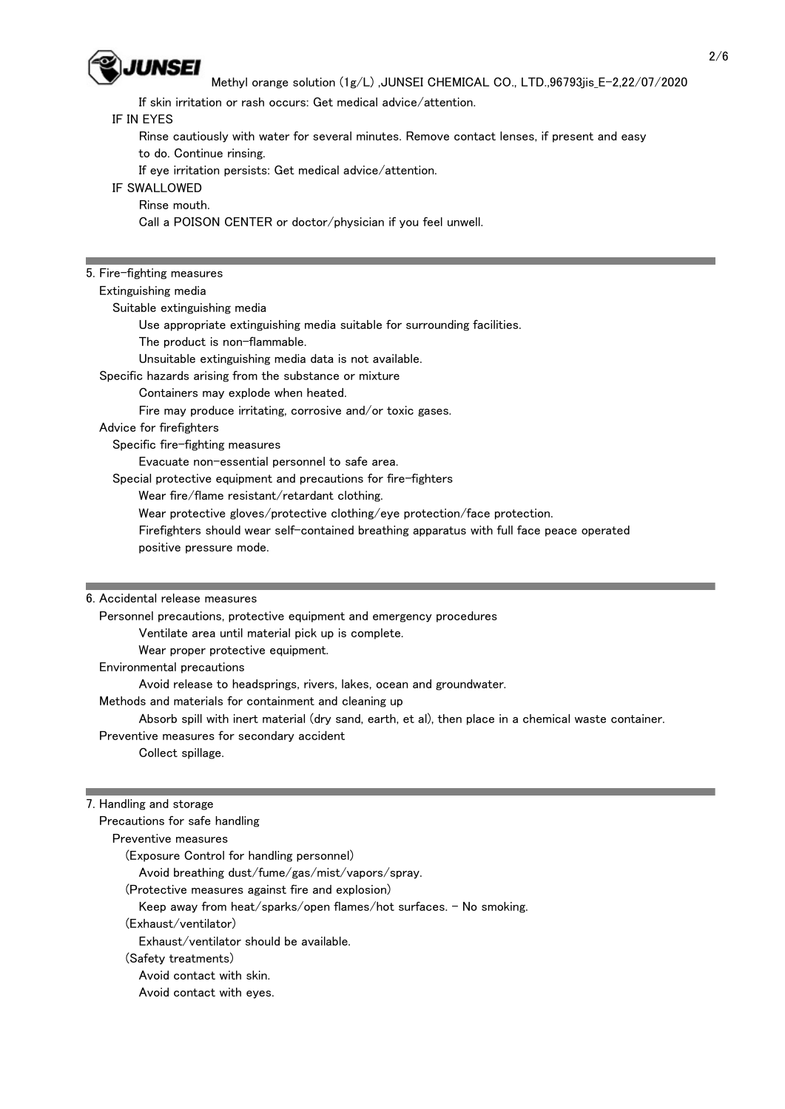

If skin irritation or rash occurs: Get medical advice/attention.

## IF IN EYES

 Rinse cautiously with water for several minutes. Remove contact lenses, if present and easy to do. Continue rinsing.

If eye irritation persists: Get medical advice/attention.

# IF SWALLOWED

 Rinse mouth. Call a POISON CENTER or doctor/physician if you feel unwell.

## 5. Fire-fighting measures

Extinguishing media

Suitable extinguishing media

Use appropriate extinguishing media suitable for surrounding facilities.

The product is non-flammable.

Unsuitable extinguishing media data is not available.

Specific hazards arising from the substance or mixture

Containers may explode when heated.

Fire may produce irritating, corrosive and/or toxic gases.

Advice for firefighters

Specific fire-fighting measures

Evacuate non-essential personnel to safe area.

Special protective equipment and precautions for fire-fighters

Wear fire/flame resistant/retardant clothing.

Wear protective gloves/protective clothing/eye protection/face protection.

 Firefighters should wear self-contained breathing apparatus with full face peace operated positive pressure mode.

#### 6. Accidental release measures

Personnel precautions, protective equipment and emergency procedures

Ventilate area until material pick up is complete.

Wear proper protective equipment.

Environmental precautions

Avoid release to headsprings, rivers, lakes, ocean and groundwater.

Methods and materials for containment and cleaning up

Absorb spill with inert material (dry sand, earth, et al), then place in a chemical waste container.

 Preventive measures for secondary accident Collect spillage.

# 7. Handling and storage

| Precautions for safe handling                                      |
|--------------------------------------------------------------------|
| Preventive measures                                                |
| (Exposure Control for handling personnel)                          |
| Avoid breathing dust/fume/gas/mist/vapors/spray.                   |
| (Protective measures against fire and explosion)                   |
| Keep away from heat/sparks/open flames/hot surfaces. - No smoking. |
| (Exhaust/ventilator)                                               |
| Exhaust/ventilator should be available.                            |
| (Safety treatments)                                                |
| Avoid contact with skin.                                           |
| Avoid contact with eyes.                                           |
|                                                                    |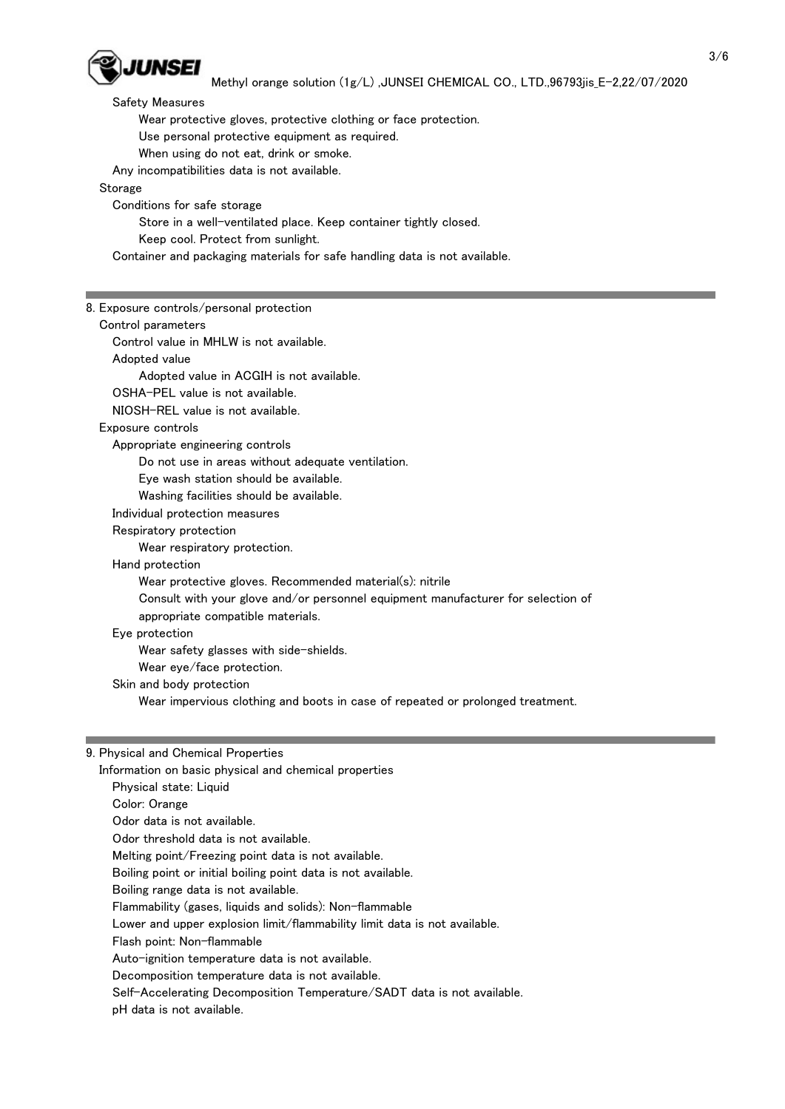

 Methyl orange solution (1g/L) ,JUNSEI CHEMICAL CO., LTD.,96793jis\_E-2,22/07/2020 Safety Measures Wear protective gloves, protective clothing or face protection. Use personal protective equipment as required. When using do not eat, drink or smoke. Any incompatibilities data is not available. Storage Conditions for safe storage Store in a well-ventilated place. Keep container tightly closed. Keep cool. Protect from sunlight. Container and packaging materials for safe handling data is not available. 8. Exposure controls/personal protection Control parameters Control value in MHLW is not available. Adopted value Adopted value in ACGIH is not available. OSHA-PEL value is not available. NIOSH-REL value is not available. Exposure controls Appropriate engineering controls Do not use in areas without adequate ventilation. Eye wash station should be available. Washing facilities should be available. Individual protection measures Respiratory protection Wear respiratory protection. Hand protection Wear protective gloves. Recommended material(s): nitrile Consult with your glove and/or personnel equipment manufacturer for selection of appropriate compatible materials. Eye protection Wear safety glasses with side-shields. Wear eye/face protection. Skin and body protection Wear impervious clothing and boots in case of repeated or prolonged treatment.

# 9. Physical and Chemical Properties

Information on basic physical and chemical properties

Physical state: Liquid

Color: Orange

Odor data is not available.

Odor threshold data is not available.

Melting point/Freezing point data is not available.

Boiling point or initial boiling point data is not available.

Boiling range data is not available.

Flammability (gases, liquids and solids): Non-flammable

Lower and upper explosion limit/flammability limit data is not available.

Flash point: Non-flammable

Auto-ignition temperature data is not available.

Decomposition temperature data is not available.

Self-Accelerating Decomposition Temperature/SADT data is not available.

pH data is not available.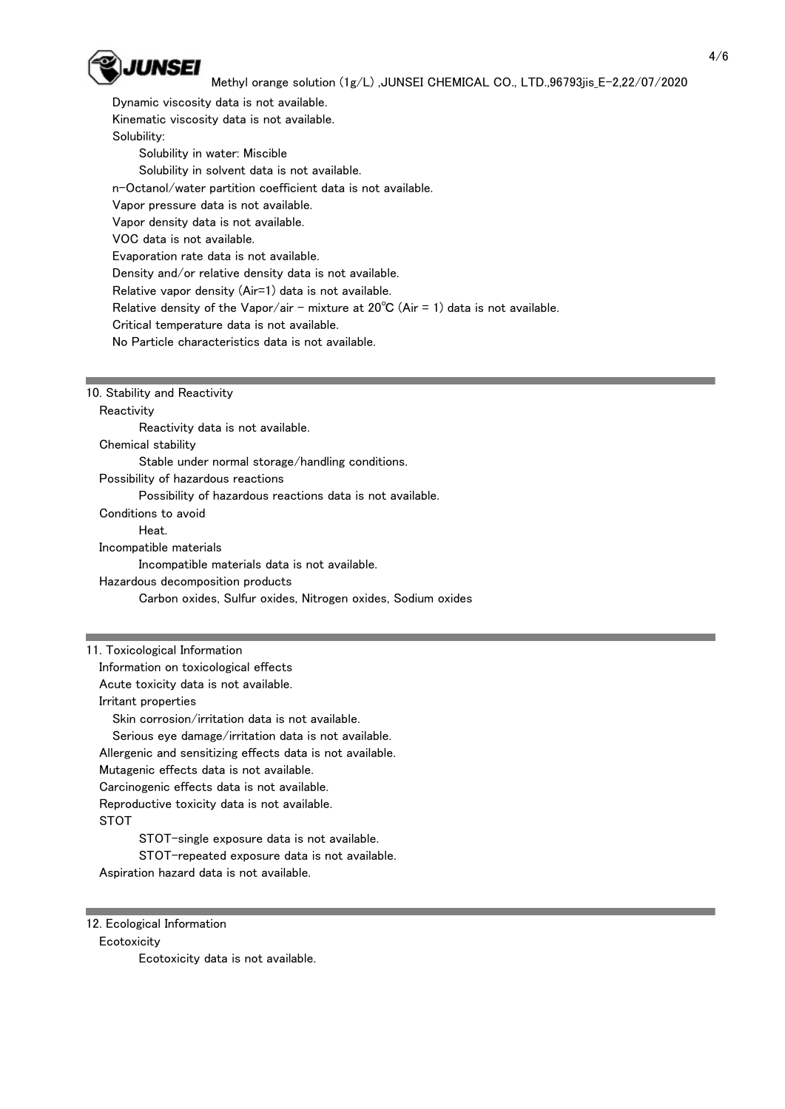

 Dynamic viscosity data is not available. Kinematic viscosity data is not available. Solubility: Solubility in water: Miscible Solubility in solvent data is not available. n-Octanol/water partition coefficient data is not available. Vapor pressure data is not available. Vapor density data is not available. VOC data is not available. Evaporation rate data is not available. Density and/or relative density data is not available. Relative vapor density (Air=1) data is not available. Relative density of the Vapor/air - mixture at  $20^{\circ}C$  (Air = 1) data is not available. Critical temperature data is not available. No Particle characteristics data is not available.

### 10. Stability and Reactivity

**Reactivity** 

Reactivity data is not available.

Chemical stability

Stable under normal storage/handling conditions.

Possibility of hazardous reactions

Possibility of hazardous reactions data is not available.

Conditions to avoid

Heat.

Incompatible materials

Incompatible materials data is not available.

Hazardous decomposition products

Carbon oxides, Sulfur oxides, Nitrogen oxides, Sodium oxides

11. Toxicological Information Information on toxicological effects Acute toxicity data is not available. Irritant properties Skin corrosion/irritation data is not available. Serious eye damage/irritation data is not available. Allergenic and sensitizing effects data is not available. Mutagenic effects data is not available. Carcinogenic effects data is not available. Reproductive toxicity data is not available. **STOT**  STOT-single exposure data is not available. STOT-repeated exposure data is not available.

Aspiration hazard data is not available.

12. Ecological Information

#### **Ecotoxicity**

Ecotoxicity data is not available.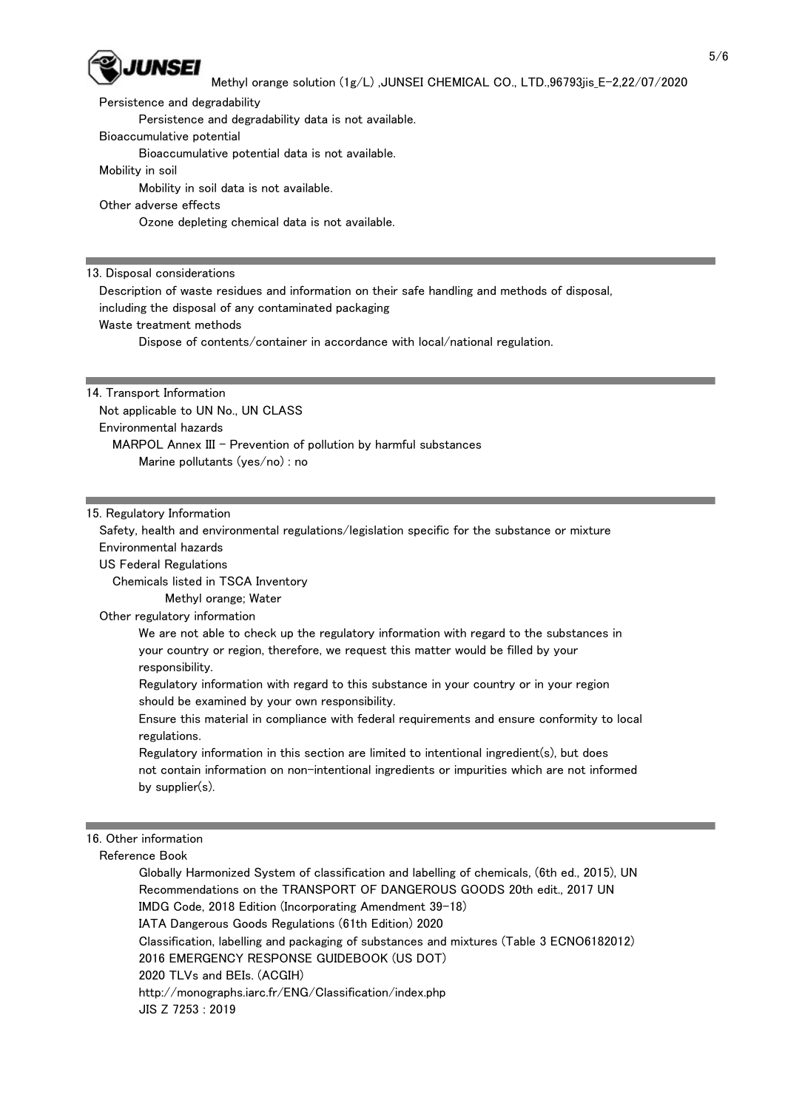

Persistence and degradability

Persistence and degradability data is not available.

Bioaccumulative potential

Bioaccumulative potential data is not available.

Mobility in soil

Mobility in soil data is not available.

Other adverse effects

Ozone depleting chemical data is not available.

13. Disposal considerations

 Description of waste residues and information on their safe handling and methods of disposal, including the disposal of any contaminated packaging

Waste treatment methods

Dispose of contents/container in accordance with local/national regulation.

14. Transport Information

 Not applicable to UN No., UN CLASS Environmental hazards MARPOL Annex III - Prevention of pollution by harmful substances Marine pollutants (yes/no) : no

15. Regulatory Information

 Safety, health and environmental regulations/legislation specific for the substance or mixture Environmental hazards

US Federal Regulations

Chemicals listed in TSCA Inventory

Methyl orange; Water

Other regulatory information

 We are not able to check up the regulatory information with regard to the substances in your country or region, therefore, we request this matter would be filled by your responsibility.

 Regulatory information with regard to this substance in your country or in your region should be examined by your own responsibility.

 Ensure this material in compliance with federal requirements and ensure conformity to local regulations.

 Regulatory information in this section are limited to intentional ingredient(s), but does not contain information on non-intentional ingredients or impurities which are not informed by supplier(s).

16. Other information

Reference Book

 Globally Harmonized System of classification and labelling of chemicals, (6th ed., 2015), UN Recommendations on the TRANSPORT OF DANGEROUS GOODS 20th edit., 2017 UN IMDG Code, 2018 Edition (Incorporating Amendment 39-18) IATA Dangerous Goods Regulations (61th Edition) 2020 Classification, labelling and packaging of substances and mixtures (Table 3 ECNO6182012) 2016 EMERGENCY RESPONSE GUIDEBOOK (US DOT) 2020 TLVs and BEIs. (ACGIH) http://monographs.iarc.fr/ENG/Classification/index.php JIS Z 7253 : 2019